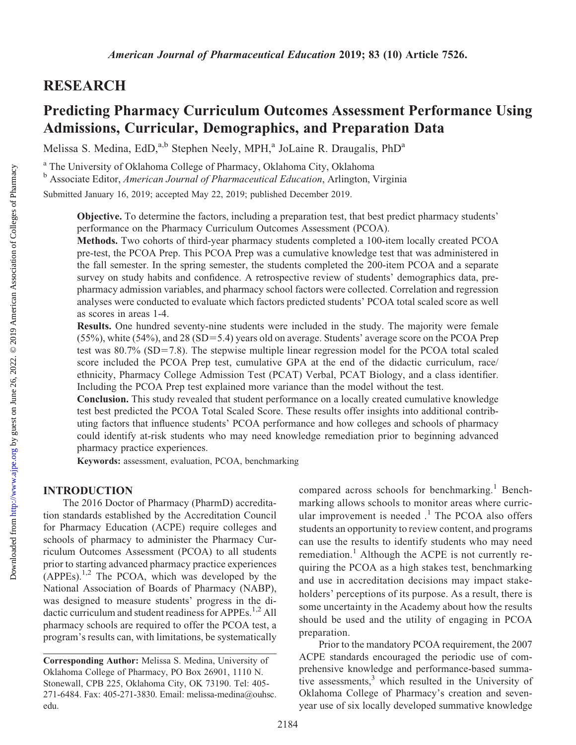# RESEARCH

# Predicting Pharmacy Curriculum Outcomes Assessment Performance Using Admissions, Curricular, Demographics, and Preparation Data

Melissa S. Medina, EdD,<sup>a,b</sup> Stephen Neely, MPH,<sup>a</sup> JoLaine R. Draugalis, PhD<sup>a</sup>

<sup>a</sup> The University of Oklahoma College of Pharmacy, Oklahoma City, Oklahoma

<sup>b</sup> Associate Editor, American Journal of Pharmaceutical Education, Arlington, Virginia

Submitted January 16, 2019; accepted May 22, 2019; published December 2019.

Objective. To determine the factors, including a preparation test, that best predict pharmacy students' performance on the Pharmacy Curriculum Outcomes Assessment (PCOA).

Methods. Two cohorts of third-year pharmacy students completed a 100-item locally created PCOA pre-test, the PCOA Prep. This PCOA Prep was a cumulative knowledge test that was administered in the fall semester. In the spring semester, the students completed the 200-item PCOA and a separate survey on study habits and confidence. A retrospective review of students' demographics data, prepharmacy admission variables, and pharmacy school factors were collected. Correlation and regression analyses were conducted to evaluate which factors predicted students' PCOA total scaled score as well as scores in areas 1-4.

Results. One hundred seventy-nine students were included in the study. The majority were female  $(55\%)$ , white  $(54\%)$ , and 28  $(SD=5.4)$  years old on average. Students' average score on the PCOA Prep test was  $80.7\%$  (SD=7.8). The stepwise multiple linear regression model for the PCOA total scaled score included the PCOA Prep test, cumulative GPA at the end of the didactic curriculum, race/ ethnicity, Pharmacy College Admission Test (PCAT) Verbal, PCAT Biology, and a class identifier. Including the PCOA Prep test explained more variance than the model without the test.

Conclusion. This study revealed that student performance on a locally created cumulative knowledge test best predicted the PCOA Total Scaled Score. These results offer insights into additional contributing factors that influence students' PCOA performance and how colleges and schools of pharmacy could identify at-risk students who may need knowledge remediation prior to beginning advanced pharmacy practice experiences.

Keywords: assessment, evaluation, PCOA, benchmarking

#### INTRODUCTION

The 2016 Doctor of Pharmacy (PharmD) accreditation standards established by the Accreditation Council for Pharmacy Education (ACPE) require colleges and schools of pharmacy to administer the Pharmacy Curriculum Outcomes Assessment (PCOA) to all students prior to starting advanced pharmacy practice experiences  $APPEs$ ).<sup>1,2</sup> The PCOA, which was developed by the National Association of Boards of Pharmacy (NABP), was designed to measure students' progress in the didactic curriculum and student readiness for APPEs.<sup>1,2</sup> All pharmacy schools are required to offer the PCOA test, a program's results can, with limitations, be systematically

compared across schools for benchmarking.<sup>1</sup> Benchmarking allows schools to monitor areas where curricular improvement is needed  $<sup>1</sup>$ . The PCOA also offers</sup> students an opportunity to review content, and programs can use the results to identify students who may need remediation.<sup>1</sup> Although the ACPE is not currently requiring the PCOA as a high stakes test, benchmarking and use in accreditation decisions may impact stakeholders' perceptions of its purpose. As a result, there is some uncertainty in the Academy about how the results should be used and the utility of engaging in PCOA preparation.

Prior to the mandatory PCOA requirement, the 2007 ACPE standards encouraged the periodic use of comprehensive knowledge and performance-based summative assessments, $3$  which resulted in the University of Oklahoma College of Pharmacy's creation and sevenyear use of six locally developed summative knowledge

Corresponding Author: Melissa S. Medina, University of Oklahoma College of Pharmacy, PO Box 26901, 1110 N. Stonewall, CPB 225, Oklahoma City, OK 73190. Tel: 405- 271-6484. Fax: 405-271-3830. Email: melissa-medina@ouhsc. edu.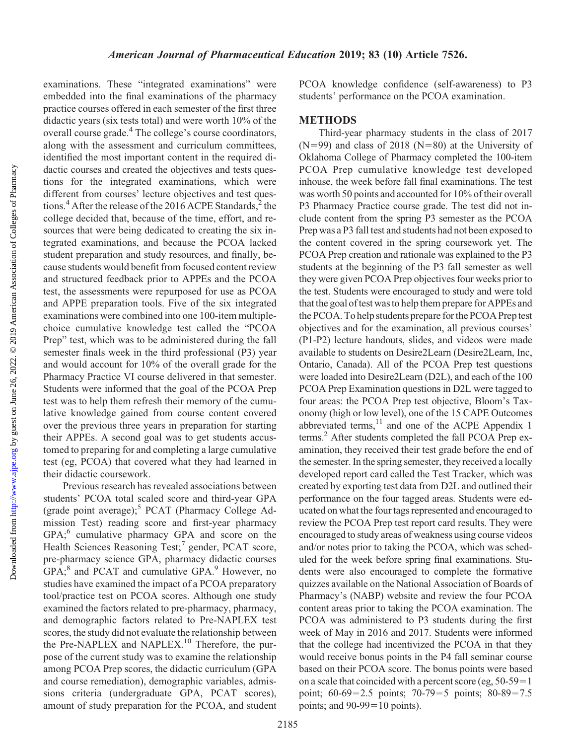Downloaded from

examinations. These "integrated examinations" were embedded into the final examinations of the pharmacy practice courses offered in each semester of the first three didactic years (six tests total) and were worth 10% of the overall course grade.<sup>4</sup> The college's course coordinators, along with the assessment and curriculum committees, identified the most important content in the required didactic courses and created the objectives and tests questions for the integrated examinations, which were different from courses' lecture objectives and test questions.<sup>4</sup> After the release of the 2016 ACPE Standards,<sup>2</sup> the college decided that, because of the time, effort, and resources that were being dedicated to creating the six integrated examinations, and because the PCOA lacked student preparation and study resources, and finally, because students would benefit from focused content review and structured feedback prior to APPEs and the PCOA test, the assessments were repurposed for use as PCOA and APPE preparation tools. Five of the six integrated examinations were combined into one 100-item multiplechoice cumulative knowledge test called the "PCOA Prep" test, which was to be administered during the fall semester finals week in the third professional (P3) year and would account for 10% of the overall grade for the Pharmacy Practice VI course delivered in that semester. Students were informed that the goal of the PCOA Prep test was to help them refresh their memory of the cumulative knowledge gained from course content covered over the previous three years in preparation for starting their APPEs. A second goal was to get students accustomed to preparing for and completing a large cumulative test (eg, PCOA) that covered what they had learned in their didactic coursework.

Previous research has revealed associations between students' PCOA total scaled score and third-year GPA (grade point average);<sup>5</sup> PCAT (Pharmacy College Admission Test) reading score and first-year pharmacy GPA;<sup>6</sup> cumulative pharmacy GPA and score on the Health Sciences Reasoning Test;<sup>7</sup> gender, PCAT score, pre-pharmacy science GPA, pharmacy didactic courses GPA;<sup>8</sup> and PCAT and cumulative GPA.<sup>9</sup> However, no studies have examined the impact of a PCOA preparatory tool/practice test on PCOA scores. Although one study examined the factors related to pre-pharmacy, pharmacy, and demographic factors related to Pre-NAPLEX test scores, the study did not evaluate the relationship between the Pre-NAPLEX and NAPLEX.<sup>10</sup> Therefore, the purpose of the current study was to examine the relationship among PCOA Prep scores, the didactic curriculum (GPA and course remediation), demographic variables, admissions criteria (undergraduate GPA, PCAT scores), amount of study preparation for the PCOA, and student PCOA knowledge confidence (self-awareness) to P3 students' performance on the PCOA examination.

### METHODS

Third-year pharmacy students in the class of 2017  $(N=99)$  and class of 2018 (N=80) at the University of Oklahoma College of Pharmacy completed the 100-item PCOA Prep cumulative knowledge test developed inhouse, the week before fall final examinations. The test was worth 50 points and accounted for 10% of their overall P3 Pharmacy Practice course grade. The test did not include content from the spring P3 semester as the PCOA Prep was a P3 fall test and students had not been exposed to the content covered in the spring coursework yet. The PCOA Prep creation and rationale was explained to the P3 students at the beginning of the P3 fall semester as well they were given PCOA Prep objectives four weeks prior to the test. Students were encouraged to study and were told that the goal of test was to help them prepare for APPEs and the PCOA. To help students prepare for the PCOA Preptest objectives and for the examination, all previous courses' (P1-P2) lecture handouts, slides, and videos were made available to students on Desire2Learn (Desire2Learn, Inc, Ontario, Canada). All of the PCOA Prep test questions were loaded into Desire2Learn (D2L), and each of the 100 PCOA Prep Examination questions in D2L were tagged to four areas: the PCOA Prep test objective, Bloom's Taxonomy (high or low level), one of the 15 CAPE Outcomes abbreviated terms, $11$  and one of the ACPE Appendix 1 terms.<sup>2</sup> After students completed the fall PCOA Prep examination, they received their test grade before the end of the semester. In the spring semester, they received a locally developed report card called the Test Tracker, which was created by exporting test data from D2L and outlined their performance on the four tagged areas. Students were educated on what the four tags represented and encouraged to review the PCOA Prep test report card results. They were encouraged to study areas of weakness using course videos and/or notes prior to taking the PCOA, which was scheduled for the week before spring final examinations. Students were also encouraged to complete the formative quizzes available on the National Association of Boards of Pharmacy's (NABP) website and review the four PCOA content areas prior to taking the PCOA examination. The PCOA was administered to P3 students during the first week of May in 2016 and 2017. Students were informed that the college had incentivized the PCOA in that they would receive bonus points in the P4 fall seminar course based on their PCOA score. The bonus points were based on a scale that coincided with a percent score (eg,  $50-59=1$ ) point;  $60-69=2.5$  points;  $70-79=5$  points;  $80-89=7.5$ points; and  $90-99=10$  points).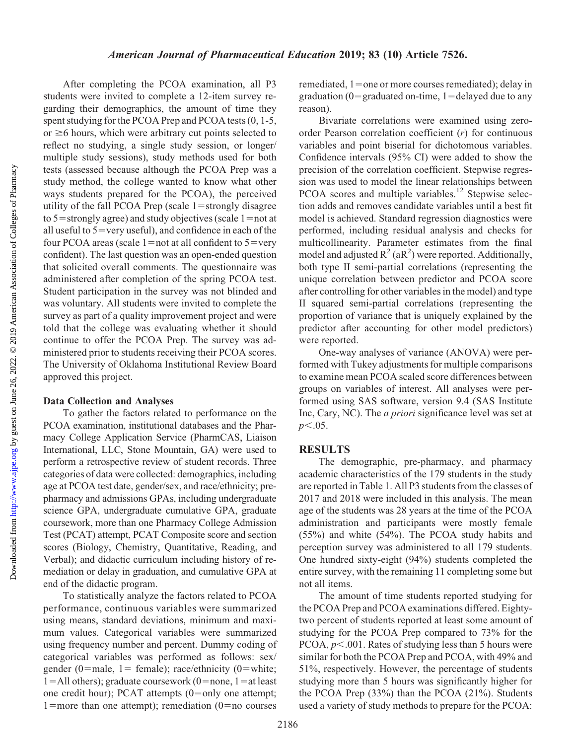After completing the PCOA examination, all P3 students were invited to complete a 12-item survey regarding their demographics, the amount of time they spent studying for the PCOA Prep and PCOA tests (0, 1-5, or  $\geq$ 6 hours, which were arbitrary cut points selected to reflect no studying, a single study session, or longer/ multiple study sessions), study methods used for both tests (assessed because although the PCOA Prep was a study method, the college wanted to know what other ways students prepared for the PCOA), the perceived utility of the fall PCOA Prep (scale  $1=$  strongly disagree to  $5$ =strongly agree) and study objectives (scale 1=not at all useful to  $5 = \text{very useful}$ ), and confidence in each of the four PCOA areas (scale  $1=$ not at all confident to  $5=$ very confident). The last question was an open-ended question that solicited overall comments. The questionnaire was administered after completion of the spring PCOA test. Student participation in the survey was not blinded and was voluntary. All students were invited to complete the survey as part of a quality improvement project and were told that the college was evaluating whether it should continue to offer the PCOA Prep. The survey was administered prior to students receiving their PCOA scores. The University of Oklahoma Institutional Review Board approved this project.

#### Data Collection and Analyses

To gather the factors related to performance on the PCOA examination, institutional databases and the Pharmacy College Application Service (PharmCAS, Liaison International, LLC, Stone Mountain, GA) were used to perform a retrospective review of student records. Three categories of data were collected: demographics, including age at PCOA test date, gender/sex, and race/ethnicity; prepharmacy and admissions GPAs, including undergraduate science GPA, undergraduate cumulative GPA, graduate coursework, more than one Pharmacy College Admission Test (PCAT) attempt, PCAT Composite score and section scores (Biology, Chemistry, Quantitative, Reading, and Verbal); and didactic curriculum including history of remediation or delay in graduation, and cumulative GPA at end of the didactic program.

To statistically analyze the factors related to PCOA performance, continuous variables were summarized using means, standard deviations, minimum and maximum values. Categorical variables were summarized using frequency number and percent. Dummy coding of categorical variables was performed as follows: sex/ gender (0=male, 1= female); race/ethnicity (0=white;  $1 =$ All others); graduate coursework (0=none, 1=at least one credit hour); PCAT attempts  $(0=$ only one attempt; 1=more than one attempt); remediation (0=no courses

remediated,  $1=$ one or more courses remediated); delay in graduation ( $0 = \text{graduated on-time}$ ,  $1 = \text{delayed due to any}$ reason).

Bivariate correlations were examined using zeroorder Pearson correlation coefficient  $(r)$  for continuous variables and point biserial for dichotomous variables. Confidence intervals (95% CI) were added to show the precision of the correlation coefficient. Stepwise regression was used to model the linear relationships between PCOA scores and multiple variables.<sup>12</sup> Stepwise selection adds and removes candidate variables until a best fit model is achieved. Standard regression diagnostics were performed, including residual analysis and checks for multicollinearity. Parameter estimates from the final model and adjusted  $R^2$  (a $R^2$ ) were reported. Additionally, both type II semi-partial correlations (representing the unique correlation between predictor and PCOA score after controlling for other variables in the model) and type II squared semi-partial correlations (representing the proportion of variance that is uniquely explained by the predictor after accounting for other model predictors) were reported.

One-way analyses of variance (ANOVA) were performed with Tukey adjustments for multiple comparisons to examine mean PCOA scaled score differences between groups on variables of interest. All analyses were performed using SAS software, version 9.4 (SAS Institute Inc, Cary, NC). The a priori significance level was set at  $p<.05$ .

#### **RESULTS**

The demographic, pre-pharmacy, and pharmacy academic characteristics of the 179 students in the study are reported in Table 1. All P3 students from the classes of 2017 and 2018 were included in this analysis. The mean age of the students was 28 years at the time of the PCOA administration and participants were mostly female (55%) and white (54%). The PCOA study habits and perception survey was administered to all 179 students. One hundred sixty-eight (94%) students completed the entire survey, with the remaining 11 completing some but not all items.

The amount of time students reported studying for the PCOA Prep and PCOA examinations differed. Eightytwo percent of students reported at least some amount of studying for the PCOA Prep compared to 73% for the PCOA,  $p<.001$ . Rates of studying less than 5 hours were similar for both the PCOA Prep and PCOA, with 49% and 51%, respectively. However, the percentage of students studying more than 5 hours was significantly higher for the PCOA Prep (33%) than the PCOA (21%). Students used a variety of study methods to prepare for the PCOA: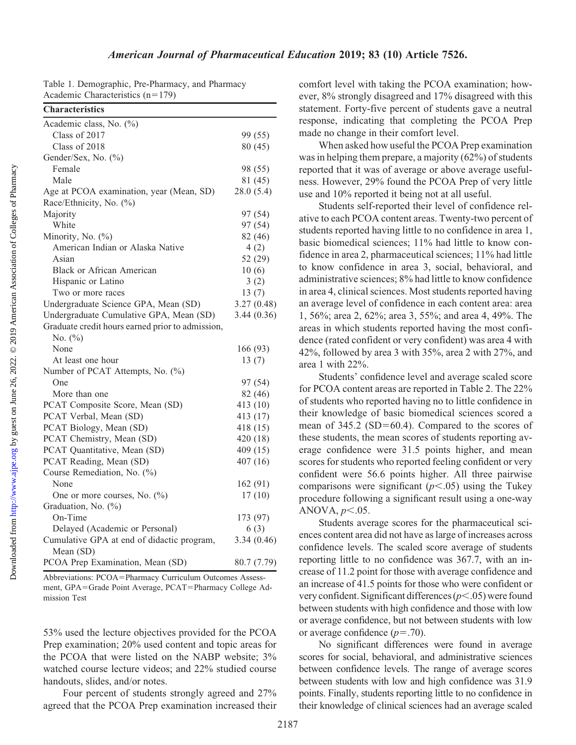| <b>Characteristics</b>                           |             |
|--------------------------------------------------|-------------|
| Academic class, No. (%)                          |             |
| Class of 2017                                    | 99 (55)     |
| Class of 2018                                    | 80 (45)     |
| Gender/Sex, No. (%)                              |             |
| Female                                           | 98 (55)     |
| Male                                             | 81 (45)     |
| Age at PCOA examination, year (Mean, SD)         | 28.0(5.4)   |
| Race/Ethnicity, No. (%)                          |             |
| Majority                                         | 97 (54)     |
| White                                            | 97 (54)     |
| Minority, No. (%)                                | 82 (46)     |
| American Indian or Alaska Native                 | 4(2)        |
| Asian                                            | 52 (29)     |
| <b>Black or African American</b>                 | 10(6)       |
| Hispanic or Latino                               | 3(2)        |
| Two or more races                                | 13(7)       |
| Undergraduate Science GPA, Mean (SD)             | 3.27(0.48)  |
| Undergraduate Cumulative GPA, Mean (SD)          | 3.44(0.36)  |
| Graduate credit hours earned prior to admission, |             |
| No. $(\%)$                                       |             |
| None                                             | 166 (93)    |
| At least one hour                                | 13(7)       |
| Number of PCAT Attempts, No. (%)                 |             |
| One                                              | 97 (54)     |
| More than one                                    | 82 (46)     |
| PCAT Composite Score, Mean (SD)                  | 413 (10)    |
| PCAT Verbal, Mean (SD)                           | 413 (17)    |
| PCAT Biology, Mean (SD)                          | 418 (15)    |
| PCAT Chemistry, Mean (SD)                        | 420 (18)    |
| PCAT Quantitative, Mean (SD)                     | 409 (15)    |
| PCAT Reading, Mean (SD)                          | 407(16)     |
| Course Remediation, No. (%)                      |             |
| None                                             | 162 (91)    |
| One or more courses, No. (%)                     | 17(10)      |
| Graduation, No. (%)                              |             |
| On-Time                                          | 173 (97)    |
| Delayed (Academic or Personal)                   | 6(3)        |
| Cumulative GPA at end of didactic program,       | 3.34(0.46)  |
| Mean (SD)                                        |             |
| PCOA Prep Examination, Mean (SD)                 | 80.7 (7.79) |

Table 1. Demographic, Pre-Pharmacy, and Pharmacy Academic Characteristics  $(n=179)$ 

Abbreviations: PCOA=Pharmacy Curriculum Outcomes Assessment, GPA=Grade Point Average, PCAT=Pharmacy College Admission Test

53% used the lecture objectives provided for the PCOA Prep examination; 20% used content and topic areas for the PCOA that were listed on the NABP website; 3% watched course lecture videos; and 22% studied course handouts, slides, and/or notes.

Four percent of students strongly agreed and 27% agreed that the PCOA Prep examination increased their

comfort level with taking the PCOA examination; however, 8% strongly disagreed and 17% disagreed with this statement. Forty-five percent of students gave a neutral response, indicating that completing the PCOA Prep made no change in their comfort level.

When asked how useful the PCOA Prep examination was in helping them prepare, a majority (62%) of students reported that it was of average or above average usefulness. However, 29% found the PCOA Prep of very little use and 10% reported it being not at all useful.

Students self-reported their level of confidence relative to each PCOA content areas. Twenty-two percent of students reported having little to no confidence in area 1, basic biomedical sciences; 11% had little to know confidence in area 2, pharmaceutical sciences; 11% had little to know confidence in area 3, social, behavioral, and administrative sciences; 8% had little to know confidence in area 4, clinical sciences. Most students reported having an average level of confidence in each content area: area 1, 56%; area 2, 62%; area 3, 55%; and area 4, 49%. The areas in which students reported having the most confidence (rated confident or very confident) was area 4 with 42%, followed by area 3 with 35%, area 2 with 27%, and area 1 with 22%.

Students' confidence level and average scaled score for PCOA content areas are reported in Table 2. The 22% of students who reported having no to little confidence in their knowledge of basic biomedical sciences scored a mean of  $345.2$  (SD=60.4). Compared to the scores of these students, the mean scores of students reporting average confidence were 31.5 points higher, and mean scores for students who reported feeling confident or very confident were 56.6 points higher. All three pairwise comparisons were significant  $(p<.05)$  using the Tukey procedure following a significant result using a one-way ANOVA,  $p<.05$ .

Students average scores for the pharmaceutical sciences content area did not have as large of increases across confidence levels. The scaled score average of students reporting little to no confidence was 367.7, with an increase of 11.2 point for those with average confidence and an increase of 41.5 points for those who were confident or very confident. Significant differences  $(p<.05)$  were found between students with high confidence and those with low or average confidence, but not between students with low or average confidence  $(p=.70)$ .

No significant differences were found in average scores for social, behavioral, and administrative sciences between confidence levels. The range of average scores between students with low and high confidence was 31.9 points. Finally, students reporting little to no confidence in their knowledge of clinical sciences had an average scaled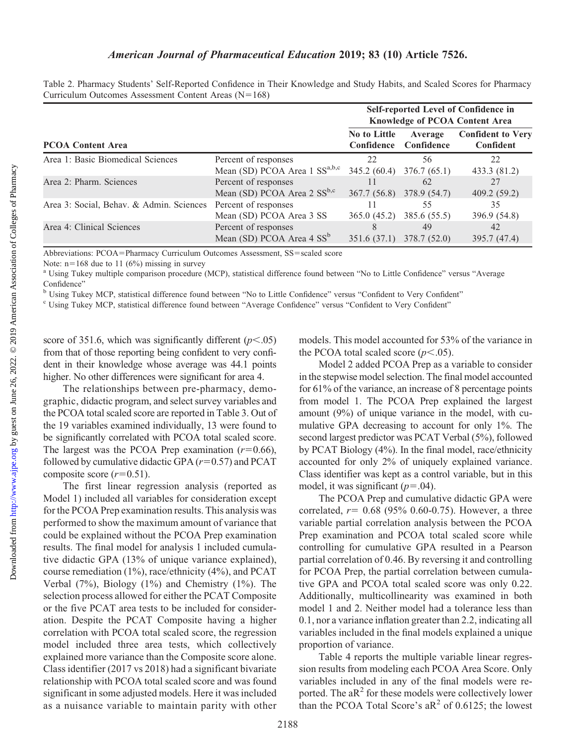Downloaded from

## American Journal of Pharmaceutical Education 2019; 83 (10) Article 7526.

|                                          |                                                                   |                                          |                       | Self-reported Level of Confidence in<br><b>Knowledge of PCOA Content Area</b> |
|------------------------------------------|-------------------------------------------------------------------|------------------------------------------|-----------------------|-------------------------------------------------------------------------------|
| <b>PCOA Content Area</b>                 |                                                                   | <b>No to Little</b><br><b>Confidence</b> | Average<br>Confidence | <b>Confident to Very</b><br>Confident                                         |
| Area 1: Basic Biomedical Sciences        | Percent of responses<br>Mean (SD) PCOA Area 1 SS <sup>a,b,c</sup> | 22<br>345.2(60.4)                        | 56<br>376.7(65.1)     | 22<br>433.3 (81.2)                                                            |
| Area 2: Pharm. Sciences                  | Percent of responses<br>Mean (SD) PCOA Area $2 SS^{b,c}$          | 367.7(56.8)                              | 62<br>378.9 (54.7)    | 27<br>409.2(59.2)                                                             |
| Area 3: Social, Behav. & Admin. Sciences | Percent of responses<br>Mean (SD) PCOA Area 3 SS                  | 365.0(45.2)                              | 55<br>385.6 (55.5)    | 35<br>396.9 (54.8)                                                            |
| Area 4: Clinical Sciences                | Percent of responses<br>Mean (SD) PCOA Area 4 SS <sup>b</sup>     | 351.6 (37.1)                             | 49<br>378.7 (52.0)    | 42<br>395.7 (47.4)                                                            |

Table 2. Pharmacy Students' Self-Reported Confidence in Their Knowledge and Study Habits, and Scaled Scores for Pharmacy Curriculum Outcomes Assessment Content Areas  $(N=168)$ 

Abbreviations: PCOA=Pharmacy Curriculum Outcomes Assessment, SS=scaled score

Note:  $n=168$  due to 11 (6%) missing in survey a using Tukey multiple comparison procedure (MCP), statistical difference found between "No to Little Confidence" versus "Average a Using Tukey multiple comparison procedure Confidence"

<sup>b</sup> Using Tukey MCP, statistical difference found between "No to Little Confidence" versus "Confident to Very Confident"

<sup>c</sup> Using Tukey MCP, statistical difference found between "Average Confidence" versus "Confident to Very Confident"

score of 351.6, which was significantly different  $(p<.05)$ from that of those reporting being confident to very confident in their knowledge whose average was 44.1 points higher. No other differences were significant for area 4.

The relationships between pre-pharmacy, demographic, didactic program, and select survey variables and the PCOA total scaled score are reported in Table 3. Out of the 19 variables examined individually, 13 were found to be significantly correlated with PCOA total scaled score. The largest was the PCOA Prep examination  $(r=0.66)$ , followed by cumulative didactic GPA  $(r=0.57)$  and PCAT composite score  $(r=0.51)$ .

The first linear regression analysis (reported as Model 1) included all variables for consideration except for the PCOA Prep examination results. This analysis was performed to show the maximum amount of variance that could be explained without the PCOA Prep examination results. The final model for analysis 1 included cumulative didactic GPA (13% of unique variance explained), course remediation (1%), race/ethnicity (4%), and PCAT Verbal (7%), Biology (1%) and Chemistry (1%). The selection process allowed for either the PCAT Composite or the five PCAT area tests to be included for consideration. Despite the PCAT Composite having a higher correlation with PCOA total scaled score, the regression model included three area tests, which collectively explained more variance than the Composite score alone. Class identifier (2017 vs 2018) had a significant bivariate relationship with PCOA total scaled score and was found significant in some adjusted models. Here it was included as a nuisance variable to maintain parity with other

models. This model accounted for 53% of the variance in the PCOA total scaled score  $(p<.05)$ .

Model 2 added PCOA Prep as a variable to consider in the stepwise model selection. The final model accounted for 61% of the variance, an increase of 8 percentage points from model 1. The PCOA Prep explained the largest amount (9%) of unique variance in the model, with cumulative GPA decreasing to account for only 1%. The second largest predictor was PCAT Verbal (5%), followed by PCAT Biology (4%). In the final model, race/ethnicity accounted for only 2% of uniquely explained variance. Class identifier was kept as a control variable, but in this model, it was significant  $(p=.04)$ .

The PCOA Prep and cumulative didactic GPA were correlated,  $r= 0.68$  (95% 0.60-0.75). However, a three variable partial correlation analysis between the PCOA Prep examination and PCOA total scaled score while controlling for cumulative GPA resulted in a Pearson partial correlation of 0.46. By reversing it and controlling for PCOA Prep, the partial correlation between cumulative GPA and PCOA total scaled score was only 0.22. Additionally, multicollinearity was examined in both model 1 and 2. Neither model had a tolerance less than 0.1, nor a variance inflation greater than 2.2, indicating all variables included in the final models explained a unique proportion of variance.

Table 4 reports the multiple variable linear regression results from modeling each PCOA Area Score. Only variables included in any of the final models were reported. The  $aR^2$  for these models were collectively lower than the PCOA Total Score's  $aR^2$  of 0.6125; the lowest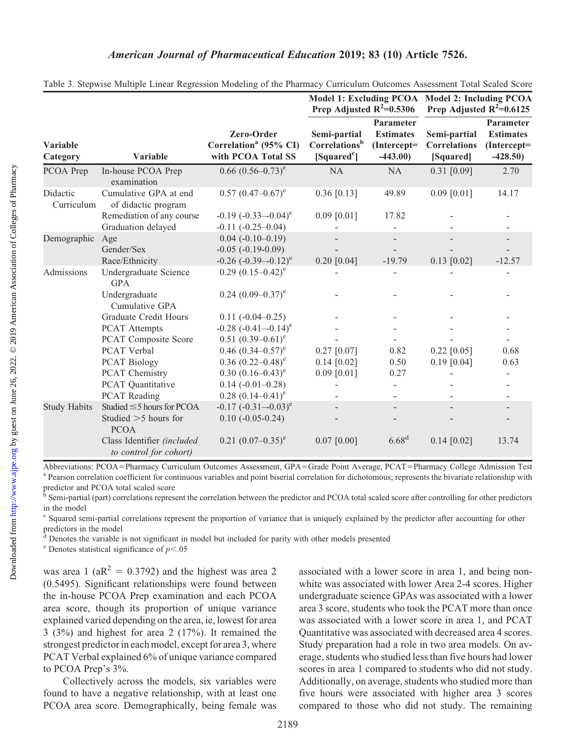|                        |                                                                                     |                                                                                                              | Prep Adjusted $R^2=0.5306$                                           |                                                              | Model 1: Excluding PCOA Model 2: Including PCOA<br>Prep Adjusted $R^2=0.6125$ |                                                           |
|------------------------|-------------------------------------------------------------------------------------|--------------------------------------------------------------------------------------------------------------|----------------------------------------------------------------------|--------------------------------------------------------------|-------------------------------------------------------------------------------|-----------------------------------------------------------|
| Variable<br>Category   | Variable                                                                            | Zero-Order<br>Correlation <sup>a</sup> (95% CI)<br>with PCOA Total SS                                        | Semi-partial<br>Correlations <sup>b</sup><br>[Squared <sup>c</sup> ] | Parameter<br><b>Estimates</b><br>$(Intercept =$<br>$-443.00$ | Semi-partial<br><b>Correlations</b><br>[Squared]                              | Parameter<br><b>Estimates</b><br>(Intercept=<br>$-428.50$ |
| PCOA Prep              | In-house PCOA Prep<br>examination                                                   | $0.66$ $(0.56-0.73)$ <sup>e</sup>                                                                            | <b>NA</b>                                                            | <b>NA</b>                                                    | $0.31$ [0.09]                                                                 | 2.70                                                      |
| Didactic<br>Curriculum | Cumulative GPA at end<br>of didactic program                                        | $0.57$ $(0.47-0.67)$ <sup>e</sup>                                                                            | $0.36$ [0.13]                                                        | 49.89                                                        | $0.09$ [0.01]                                                                 | 14.17                                                     |
|                        | Remediation of any course<br>Graduation delayed                                     | $-0.19$ $(-0.33 - 0.04)^e$<br>$-0.11 (-0.25 - 0.04)$                                                         | $0.09$ [0.01]                                                        | 17.82                                                        |                                                                               |                                                           |
| Demographic            | Age<br>Gender/Sex<br>Race/Ethnicity                                                 | $0.04 (-0.10 - 0.19)$<br>$-0.05$ $(-0.19-0.09)$<br>$-0.26$ $(-0.39-0.12)^e$                                  | $0.20$ [0.04]                                                        | $-19.79$                                                     | $0.13$ [0.02]                                                                 | $-12.57$                                                  |
| Admissions             | Undergraduate Science<br><b>GPA</b><br>Undergraduate<br>Cumulative GPA              | $0.29(0.15-0.42)^e$<br>$0.24$ $(0.09-0.37)$ <sup>e</sup>                                                     |                                                                      |                                                              |                                                                               |                                                           |
|                        | <b>Graduate Credit Hours</b><br><b>PCAT Attempts</b>                                | $0.11 (-0.04 - 0.25)$<br>$-0.28$ $(-0.41 - 0.14)^e$                                                          |                                                                      |                                                              |                                                                               |                                                           |
|                        | <b>PCAT Composite Score</b><br>PCAT Verbal<br><b>PCAT Biology</b><br>PCAT Chemistry | $0.51 (0.39 - 0.61)^e$<br>0.46 $(0.34 - 0.57)^e$<br>$0.36$ $(0.22-0.48)$ <sup>e</sup><br>$0.30(0.16-0.43)^e$ | $0.27$ [0.07]<br>$0.14$ [0.02]<br>$0.09$ [0.01]                      | 0.82<br>0.50<br>0.27                                         | $0.22$ [0.05]<br>$0.19$ [0.04]                                                | 0.68<br>0.63                                              |
|                        | PCAT Quantitative<br><b>PCAT Reading</b>                                            | $0.14 (-0.01 - 0.28)$<br>$0.28$ $(0.14-0.41)$ <sup>e</sup>                                                   |                                                                      |                                                              |                                                                               |                                                           |
| <b>Study Habits</b>    | Studied $\leq$ 5 hours for PCOA<br>Studied $>5$ hours for<br><b>PCOA</b>            | $-0.17$ $(-0.31 - 0.03)^e$<br>$0.10(-0.05-0.24)$                                                             |                                                                      |                                                              |                                                                               |                                                           |
|                        | Class Identifier (included<br>to control for cohort)                                | $0.21$ $(0.07-0.35)$ <sup>e</sup>                                                                            | $0.07$ [0.00]                                                        | 6.68 <sup>d</sup>                                            | $0.14$ [0.02]                                                                 | 13.74                                                     |

| Table 3. Stepwise Multiple Linear Regression Modeling of the Pharmacy Curriculum Outcomes Assessment Total Scaled Score |  |  |  |  |  |
|-------------------------------------------------------------------------------------------------------------------------|--|--|--|--|--|
|                                                                                                                         |  |  |  |  |  |

Abbreviations: PCOA=Pharmacy Curriculum Outcomes Assessment, GPA=Grade Point Average, PCAT=Pharmacy College Admission Test<br><sup>a</sup> Pearson correlation coefficient for continuous variables and point biserial correlation for dic predictor and PCOA total scaled score

<sup>b</sup> Semi-partial (part) correlations represent the correlation between the predictor and PCOA total scaled score after controlling for other predictors in the model

<sup>c</sup> Squared semi-partial correlations represent the proportion of variance that is uniquely explained by the predictor after accounting for other predictors in the model

<sup>d</sup> Denotes the variable is not significant in model but included for parity with other models presented

 $e^e$  Denotes statistical significance of  $p<.05$ 

was area 1 ( $aR^2 = 0.3792$ ) and the highest was area 2 (0.5495). Significant relationships were found between the in-house PCOA Prep examination and each PCOA area score, though its proportion of unique variance explained varied depending on the area, ie, lowest for area 3 (3%) and highest for area 2 (17%). It remained the strongest predictor in each model, except for area 3, where PCAT Verbal explained 6% of unique variance compared to PCOA Prep's 3%.

Collectively across the models, six variables were found to have a negative relationship, with at least one PCOA area score. Demographically, being female was associated with a lower score in area 1, and being nonwhite was associated with lower Area 2-4 scores. Higher undergraduate science GPAs was associated with a lower area 3 score, students who took the PCAT more than once was associated with a lower score in area 1, and PCAT Quantitative was associated with decreased area 4 scores. Study preparation had a role in two area models. On average, students who studied less than five hours had lower scores in area 1 compared to students who did not study. Additionally, on average, students who studied more than five hours were associated with higher area 3 scores compared to those who did not study. The remaining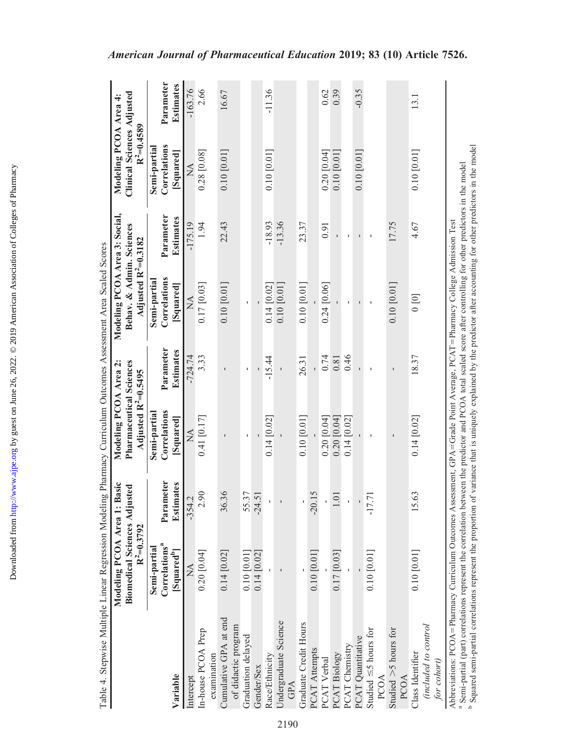| Table 4. Stepwise Multiple Linear Regression Modeling Pharmacy Curriculum Outcomes Assessment Area Scaled Scores                                                                                                                                                                                                                                                                                                                                                                                        |                                                      |                        |                                                            |                               |                                                             |                               |                                                   |                               |
|---------------------------------------------------------------------------------------------------------------------------------------------------------------------------------------------------------------------------------------------------------------------------------------------------------------------------------------------------------------------------------------------------------------------------------------------------------------------------------------------------------|------------------------------------------------------|------------------------|------------------------------------------------------------|-------------------------------|-------------------------------------------------------------|-------------------------------|---------------------------------------------------|-------------------------------|
|                                                                                                                                                                                                                                                                                                                                                                                                                                                                                                         | Modeling PCOA Area 1: F                              | <b>Basic</b>           | Modeling PCOA Area 2:                                      |                               | Modeling PCOA Area 3: Social,                               |                               | Modeling PCOA Area 4:                             |                               |
|                                                                                                                                                                                                                                                                                                                                                                                                                                                                                                         | <b>Biomedical Sciences Adjusted</b><br>$R^2=0.3792$  |                        | Pharmaceutical Sciences<br>Adjusted R <sup>2</sup> =0.5495 |                               | Behav. & Admin. Sciences<br>Adjusted R <sup>2</sup> =0.3182 |                               | <b>Clinical Sciences Adjusted</b><br>$R^2=0.4589$ |                               |
|                                                                                                                                                                                                                                                                                                                                                                                                                                                                                                         | Semi-partial                                         |                        | Semi-partial                                               |                               | Semi-partial                                                |                               | Semi-partia                                       |                               |
| Variable                                                                                                                                                                                                                                                                                                                                                                                                                                                                                                | Correlations <sup>a</sup><br>[Squared <sup>b</sup> ] | Parameter<br>Estimates | Correlations<br>[Squared]                                  | Parameter<br><b>Estimates</b> | Correlations<br>[Squared]                                   | Parameter<br><b>Estimates</b> | Correlations<br>[Squared]                         | Parameter<br><b>Estimates</b> |
| Intercept                                                                                                                                                                                                                                                                                                                                                                                                                                                                                               | $\sum_{i=1}^{n}$                                     | $-354.2$               | $\sum_{i=1}^{n}$                                           | $-724.74$                     | $\sum_{i=1}^{n}$                                            | $-175.19$                     | $\mathbb{X}$                                      | $-163.76$                     |
| In-house PCOA Prep<br>examination                                                                                                                                                                                                                                                                                                                                                                                                                                                                       | 0.20 [0.04]                                          | 2.90                   | 0.41 [0.17]                                                | 333                           | 0.17 [0.03]                                                 | 1.94                          | 0.28 [0.08]                                       | 2.66                          |
| Cumulative GPA at end<br>of didactic program                                                                                                                                                                                                                                                                                                                                                                                                                                                            | 0.14 [0.02]                                          | 36.36                  |                                                            |                               | 0.10 [0.01]                                                 | 22.43                         | 0.10 [0.01]                                       | 16.67                         |
| Graduation delayed                                                                                                                                                                                                                                                                                                                                                                                                                                                                                      | 0.10 [0.01]                                          | 55.37                  | I.                                                         | 1                             |                                                             |                               |                                                   |                               |
| Gender/Sex                                                                                                                                                                                                                                                                                                                                                                                                                                                                                              | 0.14 [0.02]                                          | $-24.51$               |                                                            |                               |                                                             |                               |                                                   |                               |
| Race/Ethnicity                                                                                                                                                                                                                                                                                                                                                                                                                                                                                          |                                                      |                        | 0.14 [0.02]                                                | $-15.44$                      | $0.14$ [0.02]                                               | $-18.93$                      | 0.10 [0.01]                                       | $-11.36$                      |
| Undergraduate Science<br>GPA                                                                                                                                                                                                                                                                                                                                                                                                                                                                            |                                                      |                        |                                                            |                               | 0.10 [0.01]                                                 | $-13.36$                      |                                                   |                               |
| Graduate Credit Hours                                                                                                                                                                                                                                                                                                                                                                                                                                                                                   |                                                      |                        | 0.10 [0.01]                                                | 26.31                         | 0.10 [0.01]                                                 | 23.37                         |                                                   |                               |
| PCAT Attempts                                                                                                                                                                                                                                                                                                                                                                                                                                                                                           | 0.10 [0.01]                                          | $-20.15$               |                                                            |                               |                                                             |                               |                                                   |                               |
| PCAT Verbal                                                                                                                                                                                                                                                                                                                                                                                                                                                                                             |                                                      |                        | $0.20$ [0.04]                                              | 0.74                          | 0.24 [0.06]                                                 | 0.91                          | $0.20$ [0.04]                                     | 0.62                          |
| PCAT Biology                                                                                                                                                                                                                                                                                                                                                                                                                                                                                            | 0.17 [0.03]                                          | 1.01                   | 0.20 [0.04]                                                | $0.81\,$                      |                                                             |                               | $0.10\ [0.01]$                                    | 0.39                          |
| PCAT Chemistry                                                                                                                                                                                                                                                                                                                                                                                                                                                                                          |                                                      |                        | 0.14 [0.02]                                                | 0.46                          |                                                             |                               |                                                   |                               |
| PCAT Quantitative                                                                                                                                                                                                                                                                                                                                                                                                                                                                                       |                                                      |                        |                                                            |                               |                                                             |                               | 0.10 [0.01]                                       | $-0.35$                       |
| Studied $\leq$ 5 hours for<br>PCOA                                                                                                                                                                                                                                                                                                                                                                                                                                                                      | $0.10$ [0.01]                                        | $-17.71$               |                                                            | I.                            |                                                             | $\mathbf I$                   |                                                   |                               |
| Studied $>5$ hours for<br><b>PCOA</b>                                                                                                                                                                                                                                                                                                                                                                                                                                                                   |                                                      |                        |                                                            | $\mathbf{I}$                  | 0.10 [0.01]                                                 | 17.75                         |                                                   |                               |
| (included to control<br>Class Identifier<br>for cohort)                                                                                                                                                                                                                                                                                                                                                                                                                                                 | 0.10 [0.01]                                          | 15.63                  | 0.14 [0.02]                                                | 18.37                         | [0]                                                         | 4.67                          | 0.10 [0.01]                                       | 13.1                          |
| <sup>b</sup> Squared semi-partial correlations represent the proportion of variance that is uniquely explained by the predictor after accounting for other predictors in the model<br><sup>a</sup> Semi-partial (part) correlations represent the correlation between the predictor and PCOA total scaled score after controlling for other predictors in the model<br>Abbreviations: PCOA = Pharmacy Curriculum Outcomes Assessment, GPA = Grade Point Average, PCAT = Pharmacy College Admission Test |                                                      |                        |                                                            |                               |                                                             |                               |                                                   |                               |

# American Journal of Pharmaceutical Education 2019; 83 (10) Article 7526.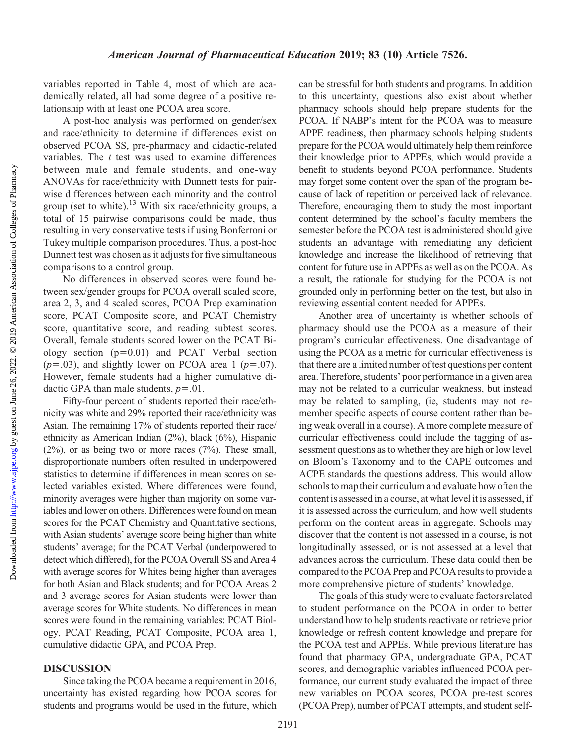variables reported in Table 4, most of which are academically related, all had some degree of a positive relationship with at least one PCOA area score.

A post-hoc analysis was performed on gender/sex and race/ethnicity to determine if differences exist on observed PCOA SS, pre-pharmacy and didactic-related variables. The  $t$  test was used to examine differences between male and female students, and one-way ANOVAs for race/ethnicity with Dunnett tests for pairwise differences between each minority and the control group (set to white).<sup>13</sup> With six race/ethnicity groups, a total of 15 pairwise comparisons could be made, thus resulting in very conservative tests if using Bonferroni or Tukey multiple comparison procedures. Thus, a post-hoc Dunnett test was chosen as it adjusts for five simultaneous comparisons to a control group.

No differences in observed scores were found between sex/gender groups for PCOA overall scaled score, area 2, 3, and 4 scaled scores, PCOA Prep examination score, PCAT Composite score, and PCAT Chemistry score, quantitative score, and reading subtest scores. Overall, female students scored lower on the PCAT Biology section  $(p=0.01)$  and PCAT Verbal section  $(p=.03)$ , and slightly lower on PCOA area 1 ( $p=.07$ ). However, female students had a higher cumulative didactic GPA than male students,  $p=0.01$ .

Fifty-four percent of students reported their race/ethnicity was white and 29% reported their race/ethnicity was Asian. The remaining 17% of students reported their race/ ethnicity as American Indian (2%), black (6%), Hispanic  $(2\%)$ , or as being two or more races  $(7\%)$ . These small, disproportionate numbers often resulted in underpowered statistics to determine if differences in mean scores on selected variables existed. Where differences were found, minority averages were higher than majority on some variables and lower on others. Differences were found on mean scores for the PCAT Chemistry and Quantitative sections, with Asian students' average score being higher than white students' average; for the PCAT Verbal (underpowered to detect which differed), for the PCOA Overall SS and Area 4 with average scores for Whites being higher than averages for both Asian and Black students; and for PCOA Areas 2 and 3 average scores for Asian students were lower than average scores for White students. No differences in mean scores were found in the remaining variables: PCAT Biology, PCAT Reading, PCAT Composite, PCOA area 1, cumulative didactic GPA, and PCOA Prep.

#### DISCUSSION

Since taking the PCOA became a requirement in 2016, uncertainty has existed regarding how PCOA scores for students and programs would be used in the future, which

can be stressful for both students and programs. In addition to this uncertainty, questions also exist about whether pharmacy schools should help prepare students for the PCOA. If NABP's intent for the PCOA was to measure APPE readiness, then pharmacy schools helping students prepare for the PCOA would ultimately help them reinforce their knowledge prior to APPEs, which would provide a benefit to students beyond PCOA performance. Students may forget some content over the span of the program because of lack of repetition or perceived lack of relevance. Therefore, encouraging them to study the most important content determined by the school's faculty members the semester before the PCOA test is administered should give students an advantage with remediating any deficient knowledge and increase the likelihood of retrieving that content for future use in APPEs as well as on the PCOA. As a result, the rationale for studying for the PCOA is not grounded only in performing better on the test, but also in reviewing essential content needed for APPEs.

Another area of uncertainty is whether schools of pharmacy should use the PCOA as a measure of their program's curricular effectiveness. One disadvantage of using the PCOA as a metric for curricular effectiveness is that there are a limited number of test questions per content area. Therefore, students' poor performance in a given area may not be related to a curricular weakness, but instead may be related to sampling, (ie, students may not remember specific aspects of course content rather than being weak overall in a course). A more complete measure of curricular effectiveness could include the tagging of assessment questions as to whether they are high or low level on Bloom's Taxonomy and to the CAPE outcomes and ACPE standards the questions address. This would allow schools to map their curriculum and evaluate how often the content is assessed in a course, at what level it is assessed, if it is assessed across the curriculum, and how well students perform on the content areas in aggregate. Schools may discover that the content is not assessed in a course, is not longitudinally assessed, or is not assessed at a level that advances across the curriculum. These data could then be compared to the PCOA Prep and PCOA results to provide a more comprehensive picture of students' knowledge.

The goals of this study were to evaluate factors related to student performance on the PCOA in order to better understand how to help students reactivate or retrieve prior knowledge or refresh content knowledge and prepare for the PCOA test and APPEs. While previous literature has found that pharmacy GPA, undergraduate GPA, PCAT scores, and demographic variables influenced PCOA performance, our current study evaluated the impact of three new variables on PCOA scores, PCOA pre-test scores (PCOA Prep), number of PCAT attempts, and student self-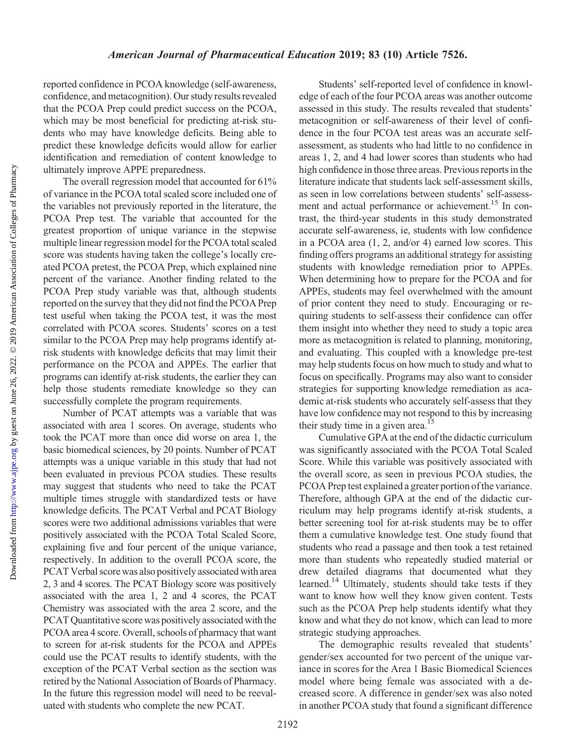<http://www.ajpe.org>

Downloaded from

### American Journal of Pharmaceutical Education 2019; 83 (10) Article 7526.

reported confidence in PCOA knowledge (self-awareness, confidence, and metacognition). Our study results revealed that the PCOA Prep could predict success on the PCOA, which may be most beneficial for predicting at-risk students who may have knowledge deficits. Being able to predict these knowledge deficits would allow for earlier identification and remediation of content knowledge to ultimately improve APPE preparedness.

The overall regression model that accounted for 61% of variance in the PCOA total scaled score included one of the variables not previously reported in the literature, the PCOA Prep test. The variable that accounted for the greatest proportion of unique variance in the stepwise multiple linear regression model for the PCOA total scaled score was students having taken the college's locally created PCOA pretest, the PCOA Prep, which explained nine percent of the variance. Another finding related to the PCOA Prep study variable was that, although students reported on the survey that they did not find the PCOA Prep test useful when taking the PCOA test, it was the most correlated with PCOA scores. Students' scores on a test similar to the PCOA Prep may help programs identify atrisk students with knowledge deficits that may limit their performance on the PCOA and APPEs. The earlier that programs can identify at-risk students, the earlier they can help those students remediate knowledge so they can successfully complete the program requirements.

Number of PCAT attempts was a variable that was associated with area 1 scores. On average, students who took the PCAT more than once did worse on area 1, the basic biomedical sciences, by 20 points. Number of PCAT attempts was a unique variable in this study that had not been evaluated in previous PCOA studies. These results may suggest that students who need to take the PCAT multiple times struggle with standardized tests or have knowledge deficits. The PCAT Verbal and PCAT Biology scores were two additional admissions variables that were positively associated with the PCOA Total Scaled Score, explaining five and four percent of the unique variance, respectively. In addition to the overall PCOA score, the PCAT Verbal score was also positively associated with area 2, 3 and 4 scores. The PCAT Biology score was positively associated with the area 1, 2 and 4 scores, the PCAT Chemistry was associated with the area 2 score, and the PCAT Quantitative score was positively associated with the PCOA area 4 score. Overall, schools of pharmacy that want to screen for at-risk students for the PCOA and APPEs could use the PCAT results to identify students, with the exception of the PCAT Verbal section as the section was retired by the National Association of Boards of Pharmacy. In the future this regression model will need to be reevaluated with students who complete the new PCAT.

Students' self-reported level of confidence in knowledge of each of the four PCOA areas was another outcome assessed in this study. The results revealed that students' metacognition or self-awareness of their level of confidence in the four PCOA test areas was an accurate selfassessment, as students who had little to no confidence in areas 1, 2, and 4 had lower scores than students who had high confidence in those three areas. Previous reports in the literature indicate that students lack self-assessment skills, as seen in low correlations between students' self-assessment and actual performance or achievement.<sup>15</sup> In contrast, the third-year students in this study demonstrated accurate self-awareness, ie, students with low confidence in a PCOA area (1, 2, and/or 4) earned low scores. This finding offers programs an additional strategy for assisting students with knowledge remediation prior to APPEs. When determining how to prepare for the PCOA and for APPEs, students may feel overwhelmed with the amount of prior content they need to study. Encouraging or requiring students to self-assess their confidence can offer them insight into whether they need to study a topic area more as metacognition is related to planning, monitoring, and evaluating. This coupled with a knowledge pre-test may help students focus on how much to study and what to focus on specifically. Programs may also want to consider strategies for supporting knowledge remediation as academic at-risk students who accurately self-assess that they have low confidence may not respond to this by increasing their study time in a given area.<sup>15</sup>

Cumulative GPA at the end of the didactic curriculum was significantly associated with the PCOA Total Scaled Score. While this variable was positively associated with the overall score, as seen in previous PCOA studies, the PCOA Prep test explained a greater portion of the variance. Therefore, although GPA at the end of the didactic curriculum may help programs identify at-risk students, a better screening tool for at-risk students may be to offer them a cumulative knowledge test. One study found that students who read a passage and then took a test retained more than students who repeatedly studied material or drew detailed diagrams that documented what they learned.<sup>14</sup> Ultimately, students should take tests if they want to know how well they know given content. Tests such as the PCOA Prep help students identify what they know and what they do not know, which can lead to more strategic studying approaches.

The demographic results revealed that students' gender/sex accounted for two percent of the unique variance in scores for the Area 1 Basic Biomedical Sciences model where being female was associated with a decreased score. A difference in gender/sex was also noted in another PCOA study that found a significant difference